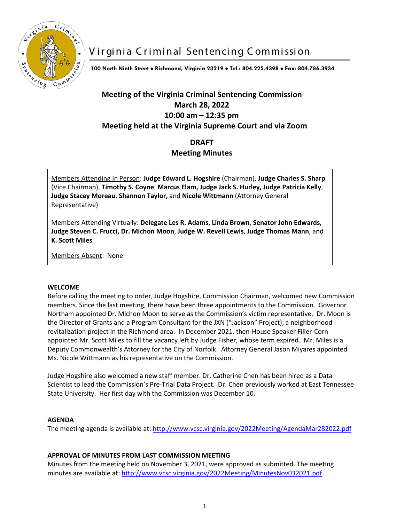

# Virginia Criminal Sentencing Commission

**100 North Ninth Street** • **Richmond, Virginia 23219** • **Tel.: 804.225.4398** • **Fax: 804.786.3934**

## **Meeting of the Virginia Criminal Sentencing Commission March 28, 2022 10:00 am – 12:35 pm Meeting held at the Virginia Supreme Court and via Zoom**

### **DRAFT Meeting Minutes**

Members Attending In Person: **Judge Edward L. Hogshire** (Chairman), **Judge Charles S. Sharp** (Vice Chairman), **Timothy S. Coyne**, **Marcus Elam, Judge Jack S. Hurley, Judge Patricia Kelly**, **Judge Stacey Moreau**, **Shannon Taylor,** and **Nicole Wittmann** (Attorney General Representative)

Members Attending Virtually: **Delegate Les R. Adams, Linda Brown**, **Senator John Edwards, Judge Steven C. Frucci, Dr. Michon Moon**, **Judge W. Revell Lewis**, **Judge Thomas Mann**, and **K. Scott Miles**

Members Absent: None

#### **WELCOME**

Before calling the meeting to order, Judge Hogshire, Commission Chairman, welcomed new Commission members. Since the last meeting, there have been three appointments to the Commission. Governor Northam appointed Dr. Michon Moon to serve as the Commission's victim representative. Dr. Moon is the Director of Grants and a Program Consultant for the JXN ("Jackson" Project), a neighborhood revitalization project in the Richmond area. In December 2021, then-House Speaker Filler-Corn appointed Mr. Scott Miles to fill the vacancy left by Judge Fisher, whose term expired. Mr. Miles is a Deputy Commonwealth's Attorney for the City of Norfolk. Attorney General Jason Miyares appointed Ms. Nicole Wittmann as his representative on the Commission.

Judge Hogshire also welcomed a new staff member. Dr. Catherine Chen has been hired as a Data Scientist to lead the Commission's Pre-Trial Data Project. Dr. Chen previously worked at East Tennessee State University. Her first day with the Commission was December 10.

#### **AGENDA**

The meeting agenda is available at[: http://www.vcsc.virginia.gov/2022Meeting/AgendaMar282022.pdf](http://www.vcsc.virginia.gov/2022Meeting/AgendaMar282022.pdf)

#### **APPROVAL OF MINUTES FROM LAST COMMISSION MEETING**

Minutes from the meeting held on November 3, 2021, were approved as submitted. The meeting minutes are available at: <http://www.vcsc.virginia.gov/2022Meeting/MinutesNov032021.pdf>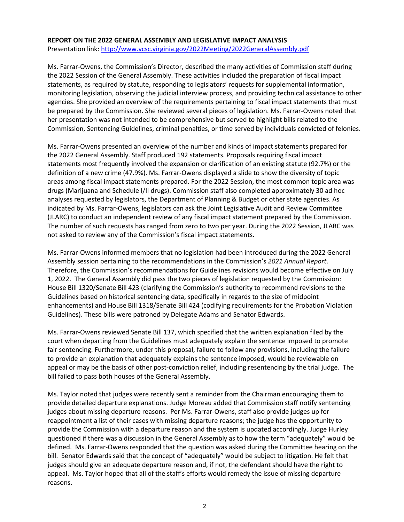### **REPORT ON THE 2022 GENERAL ASSEMBLY AND LEGISLATIVE IMPACT ANALYSIS**

Presentation link: <http://www.vcsc.virginia.gov/2022Meeting/2022GeneralAssembly.pdf>

Ms. Farrar-Owens, the Commission's Director, described the many activities of Commission staff during the 2022 Session of the General Assembly. These activities included the preparation of fiscal impact statements, as required by statute, responding to legislators' requests for supplemental information, monitoring legislation, observing the judicial interview process, and providing technical assistance to other agencies. She provided an overview of the requirements pertaining to fiscal impact statements that must be prepared by the Commission. She reviewed several pieces of legislation. Ms. Farrar-Owens noted that her presentation was not intended to be comprehensive but served to highlight bills related to the Commission, Sentencing Guidelines, criminal penalties, or time served by individuals convicted of felonies.

Ms. Farrar-Owens presented an overview of the number and kinds of impact statements prepared for the 2022 General Assembly. Staff produced 192 statements. Proposals requiring fiscal impact statements most frequently involved the expansion or clarification of an existing statute (92.7%) or the definition of a new crime (47.9%). Ms. Farrar-Owens displayed a slide to show the diversity of topic areas among fiscal impact statements prepared. For the 2022 Session, the most common topic area was drugs (Marijuana and Schedule I/II drugs). Commission staff also completed approximately 30 ad hoc analyses requested by legislators, the Department of Planning & Budget or other state agencies. As indicated by Ms. Farrar-Owens, legislators can ask the Joint Legislative Audit and Review Committee (JLARC) to conduct an independent review of any fiscal impact statement prepared by the Commission. The number of such requests has ranged from zero to two per year. During the 2022 Session, JLARC was not asked to review any of the Commission's fiscal impact statements.

Ms. Farrar-Owens informed members that no legislation had been introduced during the 2022 General Assembly session pertaining to the recommendations in the Commission's *2021 Annual Report*. Therefore, the Commission's recommendations for Guidelines revisions would become effective on July 1, 2022. The General Assembly did pass the two pieces of legislation requested by the Commission: House Bill 1320/Senate Bill 423 (clarifying the Commission's authority to recommend revisions to the Guidelines based on historical sentencing data, specifically in regards to the size of midpoint enhancements) and House Bill 1318/Senate Bill 424 (codifying requirements for the Probation Violation Guidelines). These bills were patroned by Delegate Adams and Senator Edwards.

Ms. Farrar-Owens reviewed Senate Bill 137, which specified that the written explanation filed by the court when departing from the Guidelines must adequately explain the sentence imposed to promote fair sentencing. Furthermore, under this proposal, failure to follow any provisions, including the failure to provide an explanation that adequately explains the sentence imposed, would be reviewable on appeal or may be the basis of other post-conviction relief, including resentencing by the trial judge. The bill failed to pass both houses of the General Assembly.

Ms. Taylor noted that judges were recently sent a reminder from the Chairman encouraging them to provide detailed departure explanations. Judge Moreau added that Commission staff notify sentencing judges about missing departure reasons. Per Ms. Farrar-Owens, staff also provide judges up for reappointment a list of their cases with missing departure reasons; the judge has the opportunity to provide the Commission with a departure reason and the system is updated accordingly. Judge Hurley questioned if there was a discussion in the General Assembly as to how the term "adequately" would be defined. Ms. Farrar-Owens responded that the question was asked during the Committee hearing on the bill. Senator Edwards said that the concept of "adequately" would be subject to litigation. He felt that judges should give an adequate departure reason and, if not, the defendant should have the right to appeal. Ms. Taylor hoped that all of the staff's efforts would remedy the issue of missing departure reasons.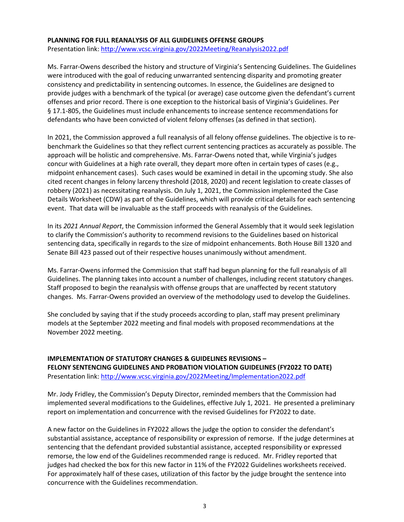#### **PLANNING FOR FULL REANALYSIS OF ALL GUIDELINES OFFENSE GROUPS**

Presentation link:<http://www.vcsc.virginia.gov/2022Meeting/Reanalysis2022.pdf>

Ms. Farrar-Owens described the history and structure of Virginia's Sentencing Guidelines. The Guidelines were introduced with the goal of reducing unwarranted sentencing disparity and promoting greater consistency and predictability in sentencing outcomes. In essence, the Guidelines are designed to provide judges with a benchmark of the typical (or average) case outcome given the defendant's current offenses and prior record. There is one exception to the historical basis of Virginia's Guidelines. Per § 17.1-805, the Guidelines must include enhancements to increase sentence recommendations for defendants who have been convicted of violent felony offenses (as defined in that section).

In 2021, the Commission approved a full reanalysis of all felony offense guidelines. The objective is to rebenchmark the Guidelines so that they reflect current sentencing practices as accurately as possible. The approach will be holistic and comprehensive. Ms. Farrar-Owens noted that, while Virginia's judges concur with Guidelines at a high rate overall, they depart more often in certain types of cases (e.g., midpoint enhancement cases). Such cases would be examined in detail in the upcoming study. She also cited recent changes in felony larceny threshold (2018, 2020) and recent legislation to create classes of robbery (2021) as necessitating reanalysis. On July 1, 2021, the Commission implemented the Case Details Worksheet (CDW) as part of the Guidelines, which will provide critical details for each sentencing event. That data will be invaluable as the staff proceeds with reanalysis of the Guidelines.

In its *2021 Annual Report*, the Commission informed the General Assembly that it would seek legislation to clarify the Commission's authority to recommend revisions to the Guidelines based on historical sentencing data, specifically in regards to the size of midpoint enhancements. Both House Bill 1320 and Senate Bill 423 passed out of their respective houses unanimously without amendment.

Ms. Farrar-Owens informed the Commission that staff had begun planning for the full reanalysis of all Guidelines. The planning takes into account a number of challenges, including recent statutory changes. Staff proposed to begin the reanalysis with offense groups that are unaffected by recent statutory changes. Ms. Farrar-Owens provided an overview of the methodology used to develop the Guidelines.

She concluded by saying that if the study proceeds according to plan, staff may present preliminary models at the September 2022 meeting and final models with proposed recommendations at the November 2022 meeting.

### **IMPLEMENTATION OF STATUTORY CHANGES & GUIDELINES REVISIONS – FELONY SENTENCING GUIDELINES AND PROBATION VIOLATION GUIDELINES (FY2022 TO DATE)** Presentation link:<http://www.vcsc.virginia.gov/2022Meeting/Implementation2022.pdf>

Mr. Jody Fridley, the Commission's Deputy Director, reminded members that the Commission had implemented several modifications to the Guidelines, effective July 1, 2021. He presented a preliminary report on implementation and concurrence with the revised Guidelines for FY2022 to date.

A new factor on the Guidelines in FY2022 allows the judge the option to consider the defendant's substantial assistance, acceptance of responsibility or expression of remorse. If the judge determines at sentencing that the defendant provided substantial assistance, accepted responsibility or expressed remorse, the low end of the Guidelines recommended range is reduced. Mr. Fridley reported that judges had checked the box for this new factor in 11% of the FY2022 Guidelines worksheets received. For approximately half of these cases, utilization of this factor by the judge brought the sentence into concurrence with the Guidelines recommendation.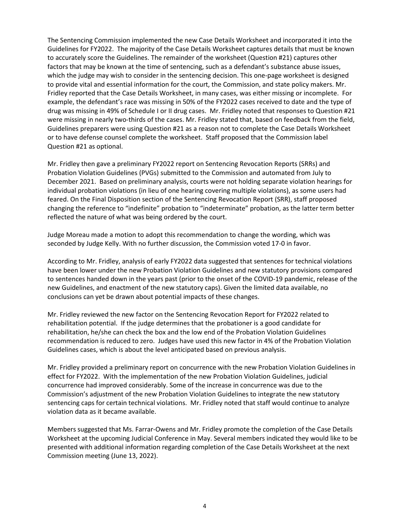The Sentencing Commission implemented the new Case Details Worksheet and incorporated it into the Guidelines for FY2022. The majority of the Case Details Worksheet captures details that must be known to accurately score the Guidelines. The remainder of the worksheet (Question #21) captures other factors that may be known at the time of sentencing, such as a defendant's substance abuse issues, which the judge may wish to consider in the sentencing decision. This one-page worksheet is designed to provide vital and essential information for the court, the Commission, and state policy makers. Mr. Fridley reported that the Case Details Worksheet, in many cases, was either missing or incomplete. For example, the defendant's race was missing in 50% of the FY2022 cases received to date and the type of drug was missing in 49% of Schedule I or II drug cases. Mr. Fridley noted that responses to Question #21 were missing in nearly two-thirds of the cases. Mr. Fridley stated that, based on feedback from the field, Guidelines preparers were using Question #21 as a reason not to complete the Case Details Worksheet or to have defense counsel complete the worksheet. Staff proposed that the Commission label Question #21 as optional.

Mr. Fridley then gave a preliminary FY2022 report on Sentencing Revocation Reports (SRRs) and Probation Violation Guidelines (PVGs) submitted to the Commission and automated from July to December 2021. Based on preliminary analysis, courts were not holding separate violation hearings for individual probation violations (in lieu of one hearing covering multiple violations), as some users had feared. On the Final Disposition section of the Sentencing Revocation Report (SRR), staff proposed changing the reference to "indefinite" probation to "indeterminate" probation, as the latter term better reflected the nature of what was being ordered by the court.

Judge Moreau made a motion to adopt this recommendation to change the wording, which was seconded by Judge Kelly. With no further discussion, the Commission voted 17-0 in favor.

According to Mr. Fridley, analysis of early FY2022 data suggested that sentences for technical violations have been lower under the new Probation Violation Guidelines and new statutory provisions compared to sentences handed down in the years past (prior to the onset of the COVID-19 pandemic, release of the new Guidelines, and enactment of the new statutory caps). Given the limited data available, no conclusions can yet be drawn about potential impacts of these changes.

Mr. Fridley reviewed the new factor on the Sentencing Revocation Report for FY2022 related to rehabilitation potential. If the judge determines that the probationer is a good candidate for rehabilitation, he/she can check the box and the low end of the Probation Violation Guidelines recommendation is reduced to zero. Judges have used this new factor in 4% of the Probation Violation Guidelines cases, which is about the level anticipated based on previous analysis.

Mr. Fridley provided a preliminary report on concurrence with the new Probation Violation Guidelines in effect for FY2022. With the implementation of the new Probation Violation Guidelines, judicial concurrence had improved considerably. Some of the increase in concurrence was due to the Commission's adjustment of the new Probation Violation Guidelines to integrate the new statutory sentencing caps for certain technical violations. Mr. Fridley noted that staff would continue to analyze violation data as it became available.

Members suggested that Ms. Farrar-Owens and Mr. Fridley promote the completion of the Case Details Worksheet at the upcoming Judicial Conference in May. Several members indicated they would like to be presented with additional information regarding completion of the Case Details Worksheet at the next Commission meeting (June 13, 2022).